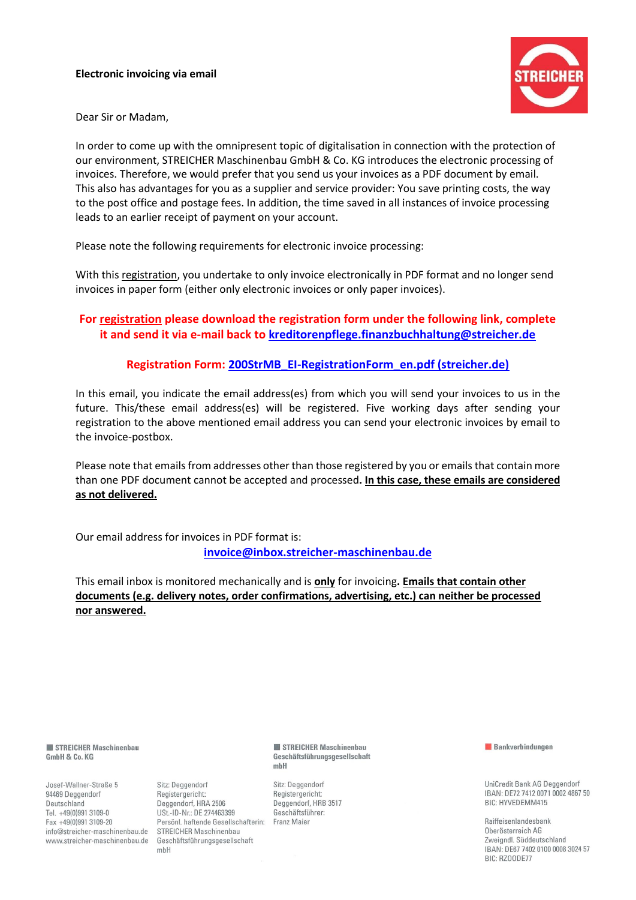#### **Electronic invoicing via email**



Dear Sir or Madam,

In order to come up with the omnipresent topic of digitalisation in connection with the protection of our environment, STREICHER Maschinenbau GmbH & Co. KG introduces the electronic processing of invoices. Therefore, we would prefer that you send us your invoices as a PDF document by email. This also has advantages for you as a supplier and service provider: You save printing costs, the way to the post office and postage fees. In addition, the time saved in all instances of invoice processing leads to an earlier receipt of payment on your account.

Please note the following requirements for electronic invoice processing:

With this registration, you undertake to only invoice electronically in PDF format and no longer send invoices in paper form (either only electronic invoices or only paper invoices).

## **For registration please download the registration form under the following link, complete it and send it via e-mail back to [kreditorenpflege.finanzbuchhaltung@streicher.de](mailto:kreditorenpflege.finanzbuchhaltung@streicher.de)**

#### **Registration Form: [200StrMB\\_EI-RegistrationForm\\_en.pdf \(streicher.de\)](https://www.streicher.de/fileadmin/user_upload/www.streicher.de/Downloads/Dokumente_Easy_Invoice/200StrMB_EI-RegistrationForm_en.pdf)**

In this email, you indicate the email address(es) from which you will send your invoices to us in the future. This/these email address(es) will be registered. Five working days after sending your registration to the above mentioned email address you can send your electronic invoices by email to the [invoice-](mailto:invoice@inbox.streicher-maschinenbau.de)postbox.

Please note that emails from addresses other than those registered by you or emails that contain more than one PDF document cannot be accepted and processed**. In this case, these emails are considered as not delivered.**

Our email address for invoices in PDF format is: **[invoice@inbox.streicher-maschinenbau.de](mailto:invoice@inbox.streicher-maschinenbau.de)**

This email inbox is monitored mechanically and is **only** for invoicing**. Emails that contain other documents (e.g. delivery notes, order confirmations, advertising, etc.) can neither be processed nor answered.**

STREICHER Maschinenbau GmbH & Co. KG

Josef-Wallner-Straße 5 94469 Deggendorf Deutschland Tel. +49(0)991 3109-0 Fax +49(0)991 3109-20 info@streicher-maschinenbau.de www.streicher-maschinenbau.de

Sitz: Deggendorf Registergericht: Deggendorf, HRA 2506 USt.-ID-Nr.: DE 274463399 Persönl. haftende Gesellschafterin: Franz Maier **STREICHER Maschinenbau** Geschäftsführungsgesellschaft mbH

STREICHER Maschinenbau Geschäftsführungsgesellschaft  $mbH$ 

Sitz: Deggendorf Registergericht: Deggendorf, HRB 3517 Geschäftsführer:

**Bankverbindungen** 

UniCredit Bank AG Deggendorf IBAN: DF72 7412 0071 0002 4867 50 BIC: HYVEDEMM415

Raiffeisenlandesbank Oberösterreich AG Zweigndl. Süddeutschland IBAN: DE67 7402 0100 0008 3024 57 BIC: RZOODE77